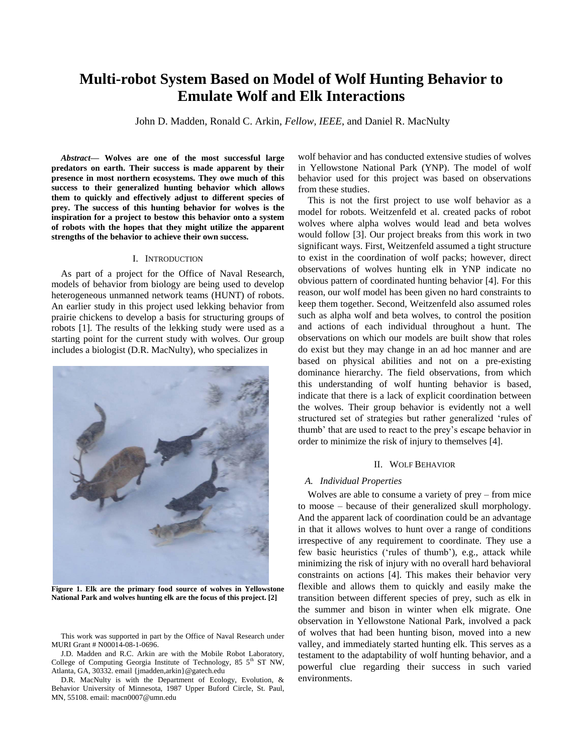# **Multi-robot System Based on Model of Wolf Hunting Behavior to Emulate Wolf and Elk Interactions**

John D. Madden, Ronald C. Arkin, *Fellow, IEEE*, and Daniel R. MacNulty

*Abstract***— Wolves are one of the most successful large predators on earth. Their success is made apparent by their presence in most northern ecosystems. They owe much of this success to their generalized hunting behavior which allows them to quickly and effectively adjust to different species of prey. The success of this hunting behavior for wolves is the inspiration for a project to bestow this behavior onto a system of robots with the hopes that they might utilize the apparent strengths of the behavior to achieve their own success.**

#### I. INTRODUCTION

As part of a project for the Office of Naval Research, models of behavior from biology are being used to develop heterogeneous unmanned network teams (HUNT) of robots. An earlier study in this project used lekking behavior from prairie chickens to develop a basis for structuring groups of robots [1]. The results of the lekking study were used as a starting point for the current study with wolves. Our group includes a biologist (D.R. MacNulty), who specializes in



**Figure 1. Elk are the primary food source of wolves in Yellowstone National Park and wolves hunting elk are the focus of this project. [2]**

This work was supported in part by the Office of Naval Research under MURI Grant # N00014-08-1-0696.

J.D. Madden and R.C. Arkin are with the Mobile Robot Laboratory, College of Computing Georgia Institute of Technology, 85  $5<sup>th</sup>$  ST NW, Atlanta, GA, 30332. email {jmadden,arkin}@gatech.edu

D.R. MacNulty is with the Department of Ecology, Evolution, & Behavior University of Minnesota, 1987 Upper Buford Circle, St. Paul, MN, 55108. email: macn0007@umn.edu

wolf behavior and has conducted extensive studies of wolves in Yellowstone National Park (YNP). The model of wolf behavior used for this project was based on observations from these studies.

This is not the first project to use wolf behavior as a model for robots. Weitzenfeld et al. created packs of robot wolves where alpha wolves would lead and beta wolves would follow [3]. Our project breaks from this work in two significant ways. First, Weitzenfeld assumed a tight structure to exist in the coordination of wolf packs; however, direct observations of wolves hunting elk in YNP indicate no obvious pattern of coordinated hunting behavior [4]. For this reason, our wolf model has been given no hard constraints to keep them together. Second, Weitzenfeld also assumed roles such as alpha wolf and beta wolves, to control the position and actions of each individual throughout a hunt. The observations on which our models are built show that roles do exist but they may change in an ad hoc manner and are based on physical abilities and not on a pre-existing dominance hierarchy. The field observations, from which this understanding of wolf hunting behavior is based, indicate that there is a lack of explicit coordination between the wolves. Their group behavior is evidently not a well structured set of strategies but rather generalized "rules of thumb" that are used to react to the prey"s escape behavior in order to minimize the risk of injury to themselves [4].

## II. WOLF BEHAVIOR

#### *A. Individual Properties*

Wolves are able to consume a variety of prey – from mice to moose – because of their generalized skull morphology. And the apparent lack of coordination could be an advantage in that it allows wolves to hunt over a range of conditions irrespective of any requirement to coordinate. They use a few basic heuristics ('rules of thumb'), e.g., attack while minimizing the risk of injury with no overall hard behavioral constraints on actions [4]. This makes their behavior very flexible and allows them to quickly and easily make the transition between different species of prey, such as elk in the summer and bison in winter when elk migrate. One observation in Yellowstone National Park, involved a pack of wolves that had been hunting bison, moved into a new valley, and immediately started hunting elk. This serves as a testament to the adaptability of wolf hunting behavior, and a powerful clue regarding their success in such varied environments.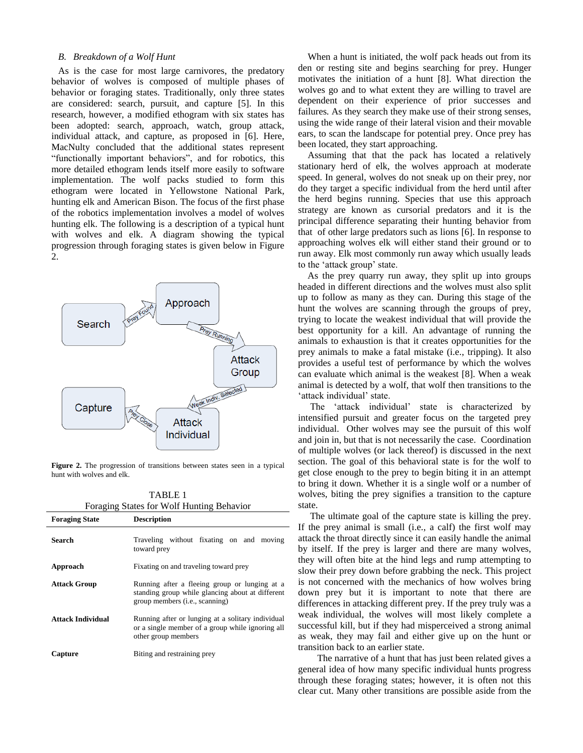## *B. Breakdown of a Wolf Hunt*

As is the case for most large carnivores, the predatory behavior of wolves is composed of multiple phases of behavior or foraging states. Traditionally, only three states are considered: search, pursuit, and capture [5]. In this research, however, a modified ethogram with six states has been adopted: search, approach, watch, group attack, individual attack, and capture, as proposed in [6]. Here, MacNulty concluded that the additional states represent "functionally important behaviors", and for robotics, this more detailed ethogram lends itself more easily to software implementation. The wolf packs studied to form this ethogram were located in Yellowstone National Park, hunting elk and American Bison. The focus of the first phase of the robotics implementation involves a model of wolves hunting elk. The following is a description of a typical hunt with wolves and elk. A diagram showing the typical progression through foraging states is given below in Figure 2.



**Figure 2.** The progression of transitions between states seen in a typical hunt with wolves and elk.

| TABLE 1                                   |  |
|-------------------------------------------|--|
| Foraging States for Wolf Hunting Behavior |  |

| <b>Foraging State</b>    | <b>Description</b>                                                                                                                           |  |  |
|--------------------------|----------------------------------------------------------------------------------------------------------------------------------------------|--|--|
| <b>Search</b>            | Traveling without fixating on and moving<br>toward prey                                                                                      |  |  |
| Approach                 | Fixating on and traveling toward prey                                                                                                        |  |  |
| <b>Attack Group</b>      | Running after a fleeing group or lunging at a<br>standing group while glancing about at different<br>group members ( <i>i.e.</i> , scanning) |  |  |
| <b>Attack Individual</b> | Running after or lunging at a solitary individual<br>or a single member of a group while ignoring all<br>other group members                 |  |  |
| Capture                  | Biting and restraining prey                                                                                                                  |  |  |

When a hunt is initiated, the wolf pack heads out from its den or resting site and begins searching for prey. Hunger motivates the initiation of a hunt [8]. What direction the wolves go and to what extent they are willing to travel are dependent on their experience of prior successes and failures. As they search they make use of their strong senses, using the wide range of their lateral vision and their movable ears, to scan the landscape for potential prey. Once prey has been located, they start approaching.

Assuming that that the pack has located a relatively stationary herd of elk, the wolves approach at moderate speed. In general, wolves do not sneak up on their prey, nor do they target a specific individual from the herd until after the herd begins running. Species that use this approach strategy are known as cursorial predators and it is the principal difference separating their hunting behavior from that of other large predators such as lions [6]. In response to approaching wolves elk will either stand their ground or to run away. Elk most commonly run away which usually leads to the "attack group" state.

 As the prey quarry run away, they split up into groups headed in different directions and the wolves must also split up to follow as many as they can. During this stage of the hunt the wolves are scanning through the groups of prey, trying to locate the weakest individual that will provide the best opportunity for a kill. An advantage of running the animals to exhaustion is that it creates opportunities for the prey animals to make a fatal mistake (i.e., tripping). It also provides a useful test of performance by which the wolves can evaluate which animal is the weakest [8]. When a weak animal is detected by a wolf, that wolf then transitions to the 'attack individual' state.

 The "attack individual" state is characterized by intensified pursuit and greater focus on the targeted prey individual. Other wolves may see the pursuit of this wolf and join in, but that is not necessarily the case. Coordination of multiple wolves (or lack thereof) is discussed in the next section. The goal of this behavioral state is for the wolf to get close enough to the prey to begin biting it in an attempt to bring it down. Whether it is a single wolf or a number of wolves, biting the prey signifies a transition to the capture state.

 The ultimate goal of the capture state is killing the prey. If the prey animal is small (i.e., a calf) the first wolf may attack the throat directly since it can easily handle the animal by itself. If the prey is larger and there are many wolves, they will often bite at the hind legs and rump attempting to slow their prey down before grabbing the neck. This project is not concerned with the mechanics of how wolves bring down prey but it is important to note that there are differences in attacking different prey. If the prey truly was a weak individual, the wolves will most likely complete a successful kill, but if they had misperceived a strong animal as weak, they may fail and either give up on the hunt or transition back to an earlier state.

 The narrative of a hunt that has just been related gives a general idea of how many specific individual hunts progress through these foraging states; however, it is often not this clear cut. Many other transitions are possible aside from the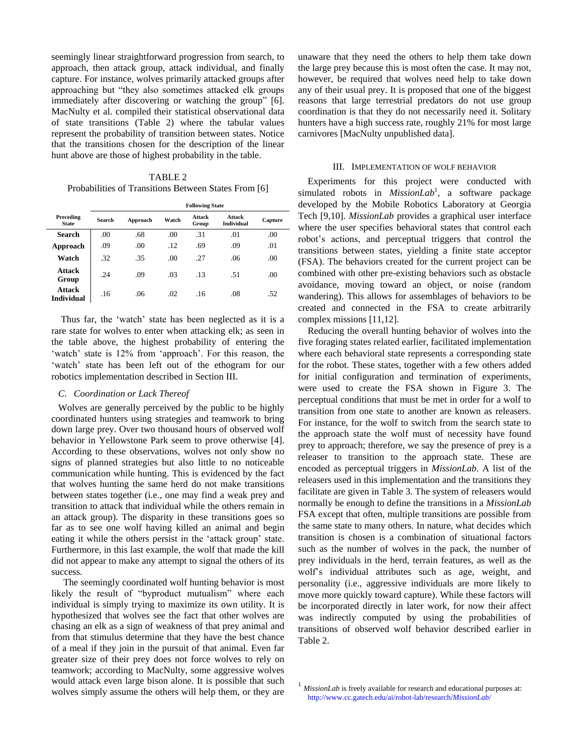seemingly linear straightforward progression from search, to approach, then attack group, attack individual, and finally capture. For instance, wolves primarily attacked groups after approaching but "they also sometimes attacked elk groups immediately after discovering or watching the group" [6]. MacNulty et al. compiled their statistical observational data of state transitions (Table 2) where the tabular values represent the probability of transition between states. Notice that the transitions chosen for the description of the linear hunt above are those of highest probability in the table.

TABLE 2 Probabilities of Transitions Between States From [6]

|                                    | <b>Following State</b> |          |       |                        |                                    |         |
|------------------------------------|------------------------|----------|-------|------------------------|------------------------------------|---------|
| Preceding<br><b>State</b>          | Search                 | Approach | Watch | <b>Attack</b><br>Group | <b>Attack</b><br><b>Individual</b> | Capture |
| Search                             | .00                    | .68      | .00   | .31                    | .01                                | .00     |
| Approach                           | .09                    | .00      | .12   | .69                    | .09                                | .01     |
| Watch                              | .32                    | .35      | .00   | .27                    | .06                                | .00     |
| <b>Attack</b><br>Group             | .24                    | .09      | .03   | .13                    | .51                                | .00     |
| <b>Attack</b><br><b>Individual</b> | .16                    | .06      | .02   | .16                    | .08                                | .52     |

Thus far, the "watch" state has been neglected as it is a rare state for wolves to enter when attacking elk; as seen in the table above, the highest probability of entering the 'watch' state is 12% from 'approach'. For this reason, the 'watch' state has been left out of the ethogram for our robotics implementation described in Section III.

## *C. Coordination or Lack Thereof*

Wolves are generally perceived by the public to be highly coordinated hunters using strategies and teamwork to bring down large prey. Over two thousand hours of observed wolf behavior in Yellowstone Park seem to prove otherwise [4]. According to these observations, wolves not only show no signs of planned strategies but also little to no noticeable communication while hunting. This is evidenced by the fact that wolves hunting the same herd do not make transitions between states together (i.e., one may find a weak prey and transition to attack that individual while the others remain in an attack group). The disparity in these transitions goes so far as to see one wolf having killed an animal and begin eating it while the others persist in the "attack group" state. Furthermore, in this last example, the wolf that made the kill did not appear to make any attempt to signal the others of its success.

 The seemingly coordinated wolf hunting behavior is most likely the result of "byproduct mutualism" where each individual is simply trying to maximize its own utility. It is hypothesized that wolves see the fact that other wolves are chasing an elk as a sign of weakness of that prey animal and from that stimulus determine that they have the best chance of a meal if they join in the pursuit of that animal. Even far greater size of their prey does not force wolves to rely on teamwork; according to MacNulty, some aggressive wolves would attack even large bison alone. It is possible that such wolves simply assume the others will help them, or they are

unaware that they need the others to help them take down the large prey because this is most often the case. It may not, however, be required that wolves need help to take down any of their usual prey. It is proposed that one of the biggest reasons that large terrestrial predators do not use group coordination is that they do not necessarily need it. Solitary hunters have a high success rate, roughly 21% for most large carnivores [MacNulty unpublished data].

## III. IMPLEMENTATION OF WOLF BEHAVIOR

Experiments for this project were conducted with simulated robots in *MissionLab*<sup>1</sup> , a software package developed by the Mobile Robotics Laboratory at Georgia Tech [9,10]. *MissionLab* provides a graphical user interface where the user specifies behavioral states that control each robot"s actions, and perceptual triggers that control the transitions between states, yielding a finite state acceptor (FSA). The behaviors created for the current project can be combined with other pre-existing behaviors such as obstacle avoidance, moving toward an object, or noise (random wandering). This allows for assemblages of behaviors to be created and connected in the FSA to create arbitrarily complex missions [11,12].

Reducing the overall hunting behavior of wolves into the five foraging states related earlier, facilitated implementation where each behavioral state represents a corresponding state for the robot. These states, together with a few others added for initial configuration and termination of experiments, were used to create the FSA shown in Figure 3. The perceptual conditions that must be met in order for a wolf to transition from one state to another are known as releasers. For instance, for the wolf to switch from the search state to the approach state the wolf must of necessity have found prey to approach; therefore, we say the presence of prey is a releaser to transition to the approach state. These are encoded as perceptual triggers in *MissionLab*. A list of the releasers used in this implementation and the transitions they facilitate are given in Table 3. The system of releasers would normally be enough to define the transitions in a *MissionLab* FSA except that often, multiple transitions are possible from the same state to many others. In nature, what decides which transition is chosen is a combination of situational factors such as the number of wolves in the pack, the number of prey individuals in the herd, terrain features, as well as the wolf"s individual attributes such as age, weight, and personality (i.e., aggressive individuals are more likely to move more quickly toward capture). While these factors will be incorporated directly in later work, for now their affect was indirectly computed by using the probabilities of transitions of observed wolf behavior described earlier in Table 2.

*MissionLab* is freely available for research and educational purposes at: http://www.cc.gatech.edu/ai/robot-lab/research/*MissionLab*/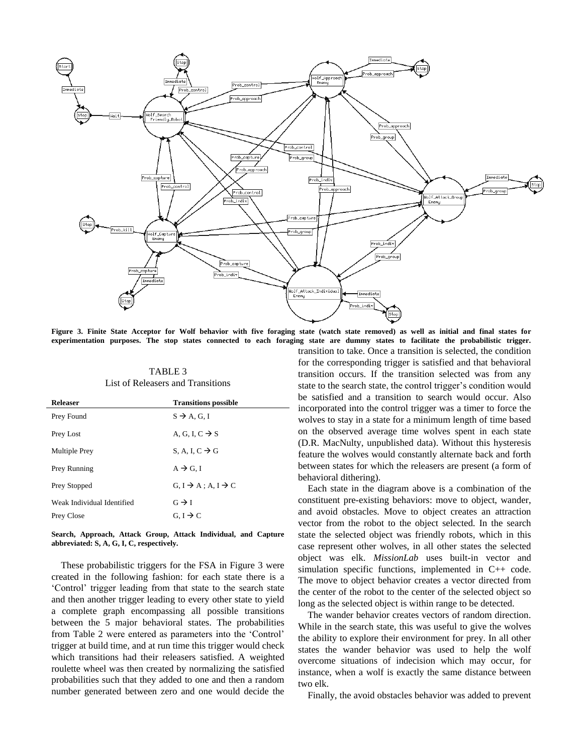

**Figure 3. Finite State Acceptor for Wolf behavior with five foraging state (watch state removed) as well as initial and final states for experimentation purposes. The stop states connected to each foraging state are dummy states to facilitate the probabilistic trigger.**

TABLE 3 List of Releasers and Transitions

| <b>Releaser</b>            | <b>Transitions possible</b>               |
|----------------------------|-------------------------------------------|
| Prey Found                 | $S \rightarrow A, G, I$                   |
| Prey Lost                  | A, G, I, C $\rightarrow$ S                |
| Multiple Prey              | $S, A, I, C \rightarrow G$                |
| Prey Running               | $A \rightarrow G. I$                      |
| Prey Stopped               | $G. I \rightarrow A : A. I \rightarrow C$ |
| Weak Individual Identified | $G \rightarrow I$                         |
| Prey Close                 | $G \to C$                                 |

**Search, Approach, Attack Group, Attack Individual, and Capture abbreviated: S, A, G, I, C, respectively.**

These probabilistic triggers for the FSA in Figure 3 were created in the following fashion: for each state there is a "Control" trigger leading from that state to the search state and then another trigger leading to every other state to yield a complete graph encompassing all possible transitions between the 5 major behavioral states. The probabilities from Table 2 were entered as parameters into the "Control" trigger at build time, and at run time this trigger would check which transitions had their releasers satisfied. A weighted roulette wheel was then created by normalizing the satisfied probabilities such that they added to one and then a random number generated between zero and one would decide the

transition to take. Once a transition is selected, the condition for the corresponding trigger is satisfied and that behavioral transition occurs. If the transition selected was from any state to the search state, the control trigger's condition would be satisfied and a transition to search would occur. Also incorporated into the control trigger was a timer to force the wolves to stay in a state for a minimum length of time based on the observed average time wolves spent in each state (D.R. MacNulty, unpublished data). Without this hysteresis feature the wolves would constantly alternate back and forth between states for which the releasers are present (a form of behavioral dithering).

Each state in the diagram above is a combination of the constituent pre-existing behaviors: move to object, wander, and avoid obstacles. Move to object creates an attraction vector from the robot to the object selected. In the search state the selected object was friendly robots, which in this case represent other wolves, in all other states the selected object was elk. *MissionLab* uses built-in vector and simulation specific functions, implemented in C++ code. The move to object behavior creates a vector directed from the center of the robot to the center of the selected object so long as the selected object is within range to be detected.

The wander behavior creates vectors of random direction. While in the search state, this was useful to give the wolves the ability to explore their environment for prey. In all other states the wander behavior was used to help the wolf overcome situations of indecision which may occur, for instance, when a wolf is exactly the same distance between two elk.

Finally, the avoid obstacles behavior was added to prevent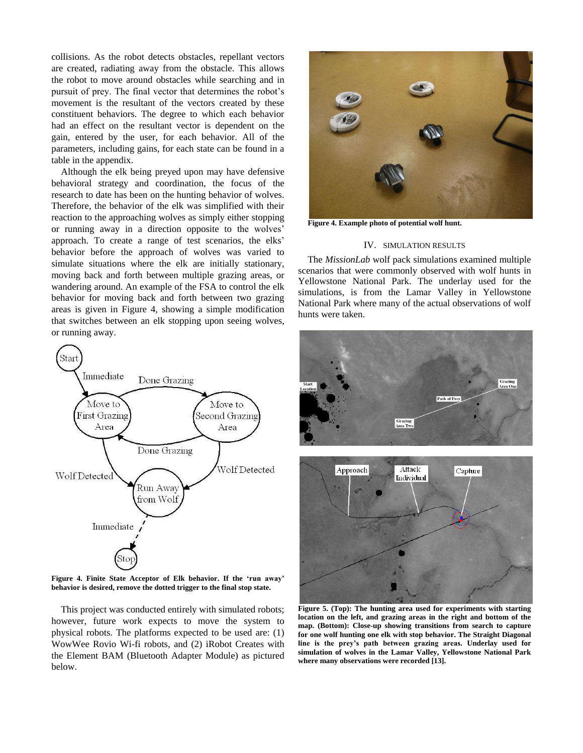collisions. As the robot detects obstacles, repellant vectors are created, radiating away from the obstacle. This allows the robot to move around obstacles while searching and in pursuit of prey. The final vector that determines the robot"s movement is the resultant of the vectors created by these constituent behaviors. The degree to which each behavior had an effect on the resultant vector is dependent on the gain, entered by the user, for each behavior. All of the parameters, including gains, for each state can be found in a table in the appendix.

Although the elk being preyed upon may have defensive behavioral strategy and coordination, the focus of the research to date has been on the hunting behavior of wolves. Therefore, the behavior of the elk was simplified with their reaction to the approaching wolves as simply either stopping or running away in a direction opposite to the wolves" approach. To create a range of test scenarios, the elks" behavior before the approach of wolves was varied to simulate situations where the elk are initially stationary, moving back and forth between multiple grazing areas, or wandering around. An example of the FSA to control the elk behavior for moving back and forth between two grazing areas is given in Figure 4, showing a simple modification that switches between an elk stopping upon seeing wolves, or running away.



**Figure 4. Finite State Acceptor of Elk behavior. If the 'run away' behavior is desired, remove the dotted trigger to the final stop state.**

This project was conducted entirely with simulated robots; however, future work expects to move the system to physical robots. The platforms expected to be used are: (1) WowWee Rovio Wi-fi robots, and (2) iRobot Creates with the Element BAM (Bluetooth Adapter Module) as pictured below.



**Figure 4. Example photo of potential wolf hunt.**

## IV. SIMULATION RESULTS

The *MissionLab* wolf pack simulations examined multiple scenarios that were commonly observed with wolf hunts in Yellowstone National Park. The underlay used for the simulations, is from the Lamar Valley in Yellowstone National Park where many of the actual observations of wolf hunts were taken.



**Figure 5. (Top): The hunting area used for experiments with starting location on the left, and grazing areas in the right and bottom of the map. (Bottom): Close-up showing transitions from search to capture for one wolf hunting one elk with stop behavior. The Straight Diagonal line is the prey's path between grazing areas. Underlay used for simulation of wolves in the Lamar Valley, Yellowstone National Park where many observations were recorded [13].**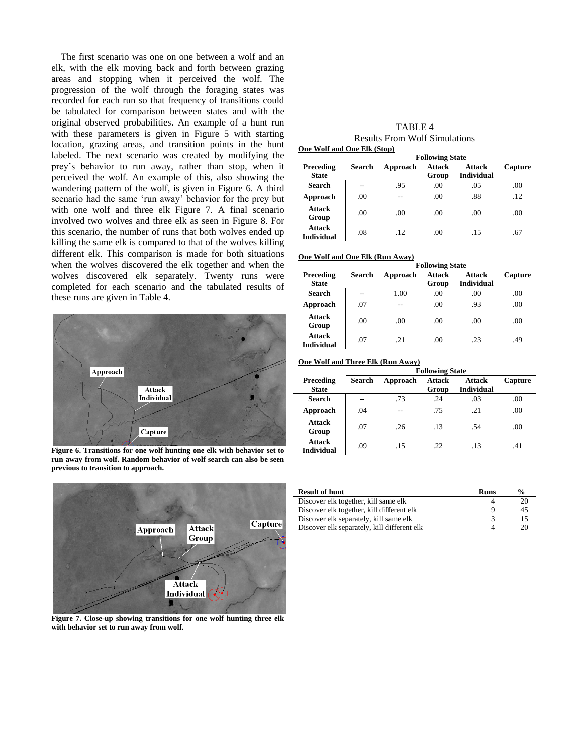The first scenario was one on one between a wolf and an elk, with the elk moving back and forth between grazing areas and stopping when it perceived the wolf. The progression of the wolf through the foraging states was recorded for each run so that frequency of transitions could be tabulated for comparison between states and with the original observed probabilities. An example of a hunt run with these parameters is given in Figure 5 with starting location, grazing areas, and transition points in the hunt labeled. The next scenario was created by modifying the prey"s behavior to run away, rather than stop, when it perceived the wolf. An example of this, also showing the wandering pattern of the wolf, is given in Figure 6. A third scenario had the same "run away" behavior for the prey but with one wolf and three elk Figure 7. A final scenario involved two wolves and three elk as seen in Figure 8. For this scenario, the number of runs that both wolves ended up killing the same elk is compared to that of the wolves killing different elk. This comparison is made for both situations when the wolves discovered the elk together and when the wolves discovered elk separately. Twenty runs were completed for each scenario and the tabulated results of these runs are given in Table 4.



**Figure 6. Transitions for one wolf hunting one elk with behavior set to run away from wolf. Random behavior of wolf search can also be seen previous to transition to approach.**



**Figure 7. Close-up showing transitions for one wolf hunting three elk with behavior set to run away from wolf.**

TABLE 4 Results From Wolf Simulations **One Wolf and One Elk (Stop)**

|                                    | <b>Following State</b> |          |                        |                             |         |
|------------------------------------|------------------------|----------|------------------------|-----------------------------|---------|
| Preceding<br><b>State</b>          | <b>Search</b>          | Approach | <b>Attack</b><br>Group | Attack<br><b>Individual</b> | Capture |
| <b>Search</b>                      |                        | .95      | .00                    | .05                         | .00     |
| Approach                           | .00.                   | --       | .00                    | .88                         | .12     |
| <b>Attack</b><br>Group             | .00                    | .00      | .00                    | .00                         | .00     |
| <b>Attack</b><br><b>Individual</b> | .08                    | .12      | .00                    | .15                         | .67     |

#### **One Wolf and One Elk (Run Away)**

|                                    | <b>Following State</b> |          |                        |                                    |         |
|------------------------------------|------------------------|----------|------------------------|------------------------------------|---------|
| <b>Preceding</b><br><b>State</b>   | Search                 | Approach | <b>Attack</b><br>Group | <b>Attack</b><br><b>Individual</b> | Capture |
| <b>Search</b>                      |                        | 1.00     | .00                    | .00                                | .00     |
| Approach                           | .07                    | --       | .00                    | .93                                | .00     |
| <b>Attack</b><br>Group             | .00                    | .00      | .00                    | .00                                | .00     |
| <b>Attack</b><br><b>Individual</b> | .07                    | -21      | .00                    | .23                                | .49     |

#### **One Wolf and Three Elk (Run Away)**

|                                    | <b>Following State</b> |          |                 |                             |         |
|------------------------------------|------------------------|----------|-----------------|-----------------------------|---------|
| <b>Preceding</b><br><b>State</b>   | Search                 | Approach | Attack<br>Group | Attack<br><b>Individual</b> | Capture |
| <b>Search</b>                      |                        | .73      | .24             | .03                         | .00     |
| Approach                           | .04                    | --       | .75             | .21                         | .00     |
| <b>Attack</b><br>Group             | .07                    | .26      | .13             | .54                         | .00     |
| <b>Attack</b><br><b>Individual</b> | .09                    | .15      | .22             | .13                         | .41     |

| <b>Result of hunt</b>                       | <b>Runs</b> | $\frac{6}{9}$ |
|---------------------------------------------|-------------|---------------|
| Discover elk together, kill same elk        |             | 20            |
| Discover elk together, kill different elk   | Q           | 45            |
| Discover elk separately, kill same elk      | 3           | 15            |
| Discover elk separately, kill different elk |             | 20            |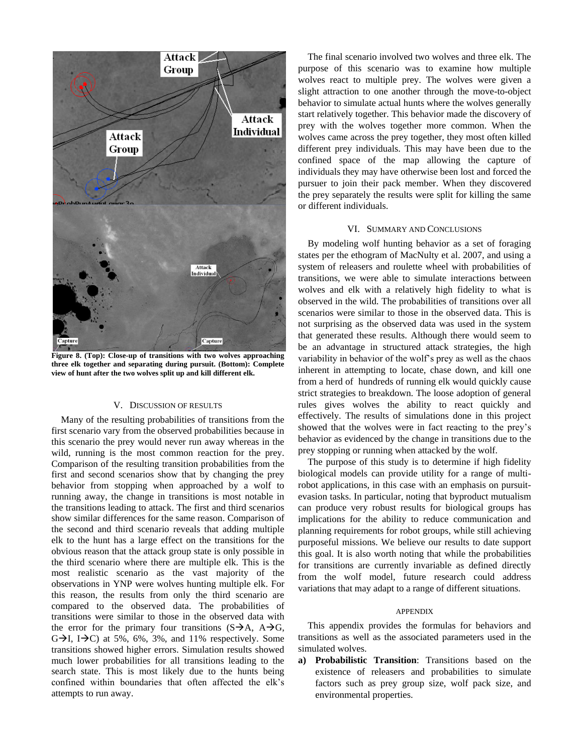

**Figure 8. (Top): Close-up of transitions with two wolves approaching three elk together and separating during pursuit. (Bottom): Complete view of hunt after the two wolves split up and kill different elk.**

## V. DISCUSSION OF RESULTS

Many of the resulting probabilities of transitions from the first scenario vary from the observed probabilities because in this scenario the prey would never run away whereas in the wild, running is the most common reaction for the prey. Comparison of the resulting transition probabilities from the first and second scenarios show that by changing the prey behavior from stopping when approached by a wolf to running away, the change in transitions is most notable in the transitions leading to attack. The first and third scenarios show similar differences for the same reason. Comparison of the second and third scenario reveals that adding multiple elk to the hunt has a large effect on the transitions for the obvious reason that the attack group state is only possible in the third scenario where there are multiple elk. This is the most realistic scenario as the vast majority of the observations in YNP were wolves hunting multiple elk. For this reason, the results from only the third scenario are compared to the observed data. The probabilities of transitions were similar to those in the observed data with the error for the primary four transitions  $(S\rightarrow A, A\rightarrow G,$ G $\rightarrow$ I, I $\rightarrow$ C) at 5%, 6%, 3%, and 11% respectively. Some transitions showed higher errors. Simulation results showed much lower probabilities for all transitions leading to the search state. This is most likely due to the hunts being confined within boundaries that often affected the elk"s attempts to run away.

The final scenario involved two wolves and three elk. The purpose of this scenario was to examine how multiple wolves react to multiple prey. The wolves were given a slight attraction to one another through the move-to-object behavior to simulate actual hunts where the wolves generally start relatively together. This behavior made the discovery of prey with the wolves together more common. When the wolves came across the prey together, they most often killed different prey individuals. This may have been due to the confined space of the map allowing the capture of individuals they may have otherwise been lost and forced the pursuer to join their pack member. When they discovered the prey separately the results were split for killing the same or different individuals.

## VI. SUMMARY AND CONCLUSIONS

By modeling wolf hunting behavior as a set of foraging states per the ethogram of MacNulty et al. 2007, and using a system of releasers and roulette wheel with probabilities of transitions, we were able to simulate interactions between wolves and elk with a relatively high fidelity to what is observed in the wild. The probabilities of transitions over all scenarios were similar to those in the observed data. This is not surprising as the observed data was used in the system that generated these results. Although there would seem to be an advantage in structured attack strategies, the high variability in behavior of the wolf"s prey as well as the chaos inherent in attempting to locate, chase down, and kill one from a herd of hundreds of running elk would quickly cause strict strategies to breakdown. The loose adoption of general rules gives wolves the ability to react quickly and effectively. The results of simulations done in this project showed that the wolves were in fact reacting to the prey"s behavior as evidenced by the change in transitions due to the prey stopping or running when attacked by the wolf.

The purpose of this study is to determine if high fidelity biological models can provide utility for a range of multirobot applications, in this case with an emphasis on pursuitevasion tasks. In particular, noting that byproduct mutualism can produce very robust results for biological groups has implications for the ability to reduce communication and planning requirements for robot groups, while still achieving purposeful missions. We believe our results to date support this goal. It is also worth noting that while the probabilities for transitions are currently invariable as defined directly from the wolf model, future research could address variations that may adapt to a range of different situations.

#### APPENDIX

This appendix provides the formulas for behaviors and transitions as well as the associated parameters used in the simulated wolves.

**a) Probabilistic Transition**: Transitions based on the existence of releasers and probabilities to simulate factors such as prey group size, wolf pack size, and environmental properties.